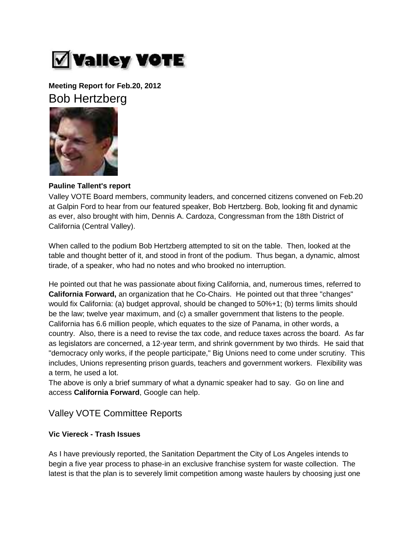

**Meeting Report for Feb.20, 2012** Bob Hertzberg



### **Pauline Tallent's report**

Valley VOTE Board members, community leaders, and concerned citizens convened on Feb.20 at Galpin Ford to hear from our featured speaker, Bob Hertzberg. Bob, looking fit and dynamic as ever, also brought with him, Dennis A. Cardoza, Congressman from the 18th District of California (Central Valley).

When called to the podium Bob Hertzberg attempted to sit on the table. Then, looked at the table and thought better of it, and stood in front of the podium. Thus began, a dynamic, almost tirade, of a speaker, who had no notes and who brooked no interruption.

He pointed out that he was passionate about fixing California, and, numerous times, referred to **California Forward,** an organization that he Co-Chairs. He pointed out that three "changes" would fix California: (a) budget approval, should be changed to 50%+1; (b) terms limits should be the law; twelve year maximum, and (c) a smaller government that listens to the people. California has 6.6 million people, which equates to the size of Panama, in other words, a country. Also, there is a need to revise the tax code, and reduce taxes across the board. As far as legislators are concerned, a 12-year term, and shrink government by two thirds. He said that "democracy only works, if the people participate," Big Unions need to come under scrutiny. This includes, Unions representing prison guards, teachers and government workers. Flexibility was a term, he used a lot.

The above is only a brief summary of what a dynamic speaker had to say. Go on line and access **California Forward**, Google can help.

# Valley VOTE Committee Reports

#### **Vic Viereck - Trash Issues**

As I have previously reported, the Sanitation Department the City of Los Angeles intends to begin a five year process to phase-in an exclusive franchise system for waste collection. The latest is that the plan is to severely limit competition among waste haulers by choosing just one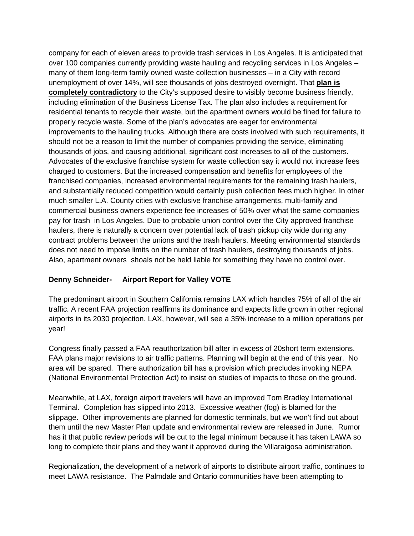company for each of eleven areas to provide trash services in Los Angeles. It is anticipated that over 100 companies currently providing waste hauling and recycling services in Los Angeles – many of them long-term family owned waste collection businesses – in a City with record unemployment of over 14%, will see thousands of jobs destroyed overnight. That **plan is completely contradictory** to the City's supposed desire to visibly become business friendly, including elimination of the Business License Tax. The plan also includes a requirement for residential tenants to recycle their waste, but the apartment owners would be fined for failure to properly recycle waste. Some of the plan's advocates are eager for environmental improvements to the hauling trucks. Although there are costs involved with such requirements, it should not be a reason to limit the number of companies providing the service, eliminating thousands of jobs, and causing additional, significant cost increases to all of the customers. Advocates of the exclusive franchise system for waste collection say it would not increase fees charged to customers. But the increased compensation and benefits for employees of the franchised companies, increased environmental requirements for the remaining trash haulers, and substantially reduced competition would certainly push collection fees much higher. In other much smaller L.A. County cities with exclusive franchise arrangements, multi-family and commercial business owners experience fee increases of 50% over what the same companies pay for trash in Los Angeles. Due to probable union control over the City approved franchise haulers, there is naturally a concern over potential lack of trash pickup city wide during any contract problems between the unions and the trash haulers. Meeting environmental standards does not need to impose limits on the number of trash haulers, destroying thousands of jobs. Also, apartment owners shoals not be held liable for something they have no control over.

## **Denny Schneider- Airport Report for Valley VOTE**

The predominant airport in Southern California remains LAX which handles 75% of all of the air traffic. A recent FAA projection reaffirms its dominance and expects little grown in other regional airports in its 2030 projection. LAX, however, will see a 35% increase to a million operations per year!

Congress finally passed a FAA reauthorIzation bill after in excess of 20short term extensions. FAA plans major revisions to air traffic patterns. Planning will begin at the end of this year. No area will be spared. There authorization bill has a provision which precludes invoking NEPA (National Environmental Protection Act) to insist on studies of impacts to those on the ground.

Meanwhile, at LAX, foreign airport travelers will have an improved Tom Bradley International Terminal. Completion has slipped into 2013. Excessive weather (fog) is blamed for the slippage. Other improvements are planned for domestic terminals, but we won't find out about them until the new Master Plan update and environmental review are released in June. Rumor has it that public review periods will be cut to the legal minimum because it has taken LAWA so long to complete their plans and they want it approved during the Villaraigosa administration.

Regionalization, the development of a network of airports to distribute airport traffic, continues to meet LAWA resistance. The Palmdale and Ontario communities have been attempting to